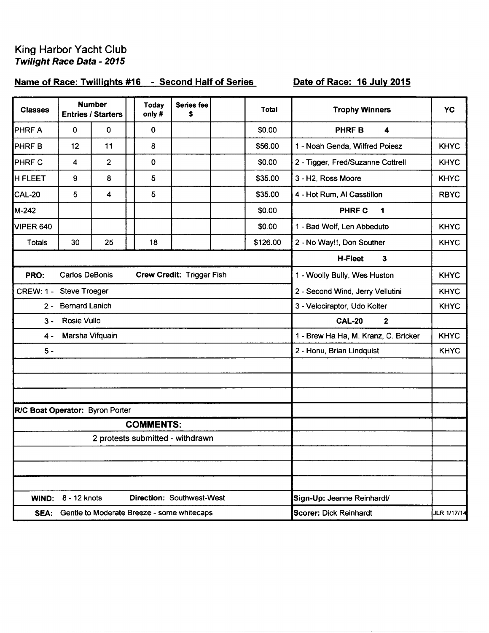# King Harbor Yacht Club<br>Twilight Race Data - 2015

 $\label{eq:1} \begin{split} \mathcal{L}^{(1)}(0) & = \mathcal{L}^{(1)}(0) + \mathcal{L}^{(2)}(0) + \mathcal{L}^{(1)}(0) + \mathcal{L}^{(2)}(0) + \mathcal{L}^{(1)}(0) + \mathcal{L}^{(2)}(0) + \mathcal{L}^{(1)}(0) + \mathcal{L}^{(2)}(0) + \mathcal{L}^{(1)}(0) + \mathcal{L}^{(2)}(0) + \mathcal{L}^{(1)}(0) + \mathcal{L}^{(2)}(0) + \mathcal{L}^{(1)}(0) + \mathcal{L}^{(2)}($ 

## Name of Race: Twillights #16 - Second Half of Series

### Date of Race: 16 July 2015

| <b>Classes</b>                                       |                       | <b>Number</b><br><b>Entries / Starters</b> |  | <b>Today</b><br>only# | Series fee<br>\$                                |  | <b>Total</b>                         | <b>Trophy Winners</b>             | <b>YC</b>   |
|------------------------------------------------------|-----------------------|--------------------------------------------|--|-----------------------|-------------------------------------------------|--|--------------------------------------|-----------------------------------|-------------|
| <b>PHRF A</b>                                        | $\mathbf 0$           | 0                                          |  | 0                     |                                                 |  | \$0.00                               | $\blacktriangle$<br><b>PHRFB</b>  |             |
| <b>PHRFB</b>                                         | 12                    | 11                                         |  | 8                     |                                                 |  | \$56.00                              | 1 - Noah Genda, Wilfred Poiesz    | <b>KHYC</b> |
| <b>PHRF C</b>                                        | $\overline{4}$        | $\overline{2}$                             |  | $\mathbf 0$           |                                                 |  | \$0.00                               | 2 - Tigger, Fred/Suzanne Cottrell | <b>KHYC</b> |
| <b>H FLEET</b>                                       | 9                     | 8                                          |  | 5                     |                                                 |  | \$35.00                              | 3 - H2, Ross Moore                | <b>KHYC</b> |
| <b>CAL-20</b>                                        | 5                     | 4                                          |  | 5                     |                                                 |  | \$35.00                              | 4 - Hot Rum, Al Casstillon        | <b>RBYC</b> |
| M-242                                                |                       |                                            |  |                       |                                                 |  | \$0.00                               | <b>PHRF C</b><br>1                |             |
| <b>VIPER 640</b>                                     |                       |                                            |  |                       |                                                 |  | \$0.00                               | 1 - Bad Wolf, Len Abbeduto        | <b>KHYC</b> |
| Totals                                               | 30                    | 25                                         |  | 18                    |                                                 |  | \$126.00                             | 2 - No Way!!, Don Souther         | <b>KHYC</b> |
|                                                      |                       |                                            |  |                       |                                                 |  |                                      | H-Fleet<br>$\mathbf{3}$           |             |
| PRO:                                                 | <b>Carlos DeBonis</b> |                                            |  |                       | Crew Credit: Trigger Fish                       |  |                                      | 1 - Woolly Bully, Wes Huston      | <b>KHYC</b> |
| <b>CREW: 1 -</b>                                     | <b>Steve Troeger</b>  |                                            |  |                       |                                                 |  |                                      | 2 - Second Wind, Jerry Vellutini  | <b>KHYC</b> |
| $2 -$                                                | <b>Bernard Lanich</b> |                                            |  |                       |                                                 |  |                                      | 3 - Velociraptor, Udo Kolter      | <b>KHYC</b> |
| $3 -$                                                | Rosie Vullo           |                                            |  |                       |                                                 |  |                                      | <b>CAL-20</b><br>$\mathbf{2}$     |             |
| Marsha Vifquain<br>$4 -$                             |                       |                                            |  |                       |                                                 |  | 1 - Brew Ha Ha, M. Kranz, C. Bricker | <b>KHYC</b>                       |             |
| $5 -$                                                |                       |                                            |  |                       |                                                 |  |                                      | 2 - Honu, Brian Lindquist         | <b>KHYC</b> |
|                                                      |                       |                                            |  |                       |                                                 |  |                                      |                                   |             |
|                                                      |                       |                                            |  |                       |                                                 |  |                                      |                                   |             |
|                                                      |                       |                                            |  |                       |                                                 |  |                                      |                                   |             |
| R/C Boat Operator: Byron Porter                      |                       |                                            |  |                       |                                                 |  |                                      |                                   |             |
| <b>COMMENTS:</b><br>2 protests submitted - withdrawn |                       |                                            |  |                       |                                                 |  |                                      |                                   |             |
|                                                      |                       |                                            |  |                       |                                                 |  |                                      |                                   |             |
|                                                      |                       |                                            |  |                       |                                                 |  |                                      |                                   |             |
|                                                      |                       |                                            |  |                       |                                                 |  |                                      |                                   |             |
| <b>WIND:</b>                                         | 8 - 12 knots          |                                            |  |                       | <b>Direction: Southwest-West</b>                |  |                                      | Sign-Up: Jeanne Reinhardt/        |             |
|                                                      |                       |                                            |  |                       | SEA: Gentle to Moderate Breeze - some whitecaps |  |                                      | Scorer: Dick Reinhardt            | JLR 1/17/14 |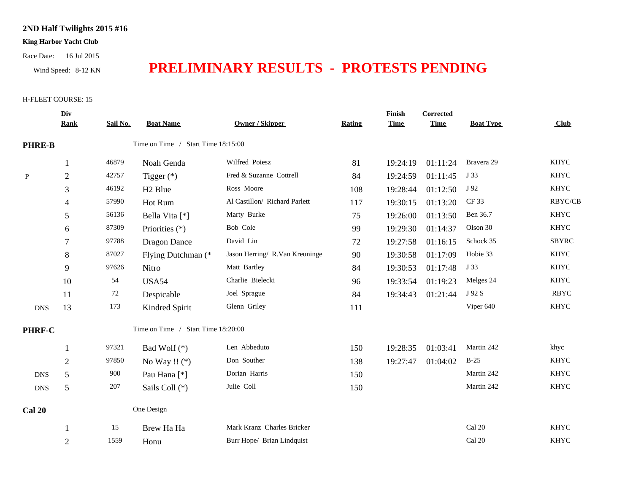#### **2ND Half Twilights 2015 #16**

#### **King Harbor Yacht Club**

Race Date: 16 Jul 2015

# Wind Speed: 8-12 KN **PRELIMINARY RESULTS - PROTESTS PENDING**

#### H-FLEET COURSE: 15

|               | Div            |          |                                    |                                |        | Finish      | <b>Corrected</b> |                  |                |
|---------------|----------------|----------|------------------------------------|--------------------------------|--------|-------------|------------------|------------------|----------------|
|               | <b>Rank</b>    | Sail No. | <b>Boat Name</b>                   | <b>Owner / Skipper</b>         | Rating | <b>Time</b> | <b>Time</b>      | <b>Boat Type</b> | Club           |
| <b>PHRE-B</b> |                |          | Time on Time / Start Time 18:15:00 |                                |        |             |                  |                  |                |
|               | $\mathbf{1}$   | 46879    | Noah Genda                         | Wilfred Poiesz                 | 81     | 19:24:19    | 01:11:24         | Bravera 29       | <b>KHYC</b>    |
| $\mathbf{P}$  | $\sqrt{2}$     | 42757    | Tigger $(*)$                       | Fred & Suzanne Cottrell        | 84     | 19:24:59    | 01:11:45         | J 33             | <b>KHYC</b>    |
|               | 3              | 46192    | H <sub>2</sub> Blue                | Ross Moore                     | 108    | 19:28:44    | 01:12:50         | J 92             | <b>KHYC</b>    |
|               | 4              | 57990    | Hot Rum                            | Al Castillon/ Richard Parlett  | 117    | 19:30:15    | 01:13:20         | CF 33            | <b>RBYC/CB</b> |
|               | 5              | 56136    | Bella Vita [*]                     | Marty Burke                    | 75     | 19:26:00    | 01:13:50         | Ben 36.7         | <b>KHYC</b>    |
|               | 6              | 87309    | Priorities (*)                     | Bob Cole                       | 99     | 19:29:30    | 01:14:37         | Olson 30         | <b>KHYC</b>    |
|               |                | 97788    | <b>Dragon Dance</b>                | David Lin                      | 72     | 19:27:58    | 01:16:15         | Schock 35        | <b>SBYRC</b>   |
|               | 8              | 87027    | Flying Dutchman (*                 | Jason Herring/ R.Van Kreuninge | 90     | 19:30:58    | 01:17:09         | Hobie 33         | <b>KHYC</b>    |
|               | 9              | 97626    | Nitro                              | Matt Bartley                   | 84     | 19:30:53    | 01:17:48         | J 33             | <b>KHYC</b>    |
|               | 10             | 54       | <b>USA54</b>                       | Charlie Bielecki               | 96     | 19:33:54    | 01:19:23         | Melges 24        | <b>KHYC</b>    |
|               | 11             | 72       | Despicable                         | Joel Sprague                   | 84     | 19:34:43    | 01:21:44         | J 92 S           | <b>RBYC</b>    |
| <b>DNS</b>    | 13             | 173      | Kindred Spirit                     | Glenn Griley                   | 111    |             |                  | Viper 640        | <b>KHYC</b>    |
| PHRF-C        |                |          | Time on Time / Start Time 18:20:00 |                                |        |             |                  |                  |                |
|               | $\mathbf{1}$   | 97321    | Bad Wolf $(*)$                     | Len Abbeduto                   | 150    | 19:28:35    | 01:03:41         | Martin 242       | khyc           |
|               | $\sqrt{2}$     | 97850    | No Way !! $(*)$                    | Don Souther                    | 138    | 19:27:47    | 01:04:02         | $B-25$           | <b>KHYC</b>    |
| <b>DNS</b>    | 5              | 900      | Pau Hana <sup>[*]</sup>            | Dorian Harris                  | 150    |             |                  | Martin 242       | <b>KHYC</b>    |
| <b>DNS</b>    | 5              | 207      | Sails Coll (*)                     | Julie Coll                     | 150    |             |                  | Martin 242       | <b>KHYC</b>    |
| <b>Cal 20</b> |                |          | One Design                         |                                |        |             |                  |                  |                |
|               |                | 15       | Brew Ha Ha                         | Mark Kranz Charles Bricker     |        |             |                  | Cal 20           | <b>KHYC</b>    |
|               | $\overline{2}$ | 1559     | Honu                               | Burr Hope/ Brian Lindquist     |        |             |                  | Cal 20           | <b>KHYC</b>    |
|               |                |          |                                    |                                |        |             |                  |                  |                |